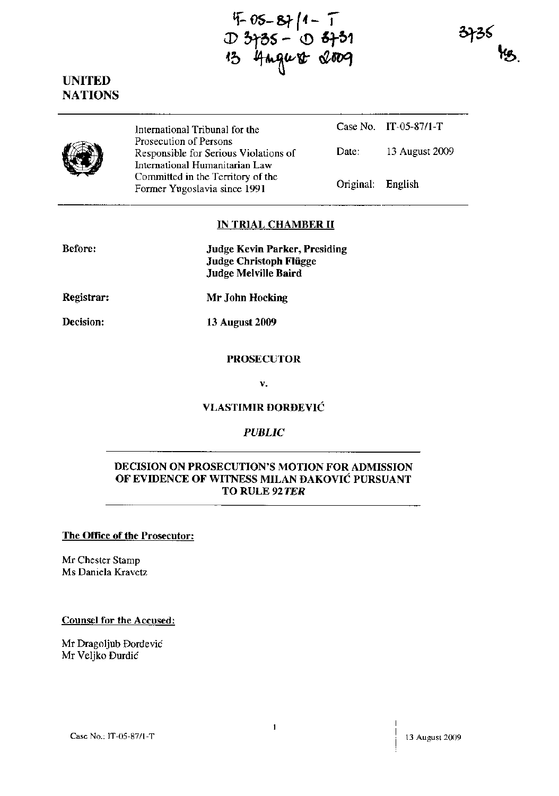$4 - 1$ <br>  $D$  3+35 - 0 3+31<br>  $B$  4mgust 2009





International Tribunal for the Prosecution of Persons Responsible for Serious Violations of International Humanitarian Law Committed in the Territory of the Former Yugoslavia since 1991

Case No. IT-05-87/1-T Date: 13 August 2009 Original: English

# **IN TRIAL CHAMBER II**

| <b>Before:</b> | Judge Kevin Parker, Presiding |
|----------------|-------------------------------|
|                | Judge Christoph Flügge        |
|                | Judge Melville Baird          |

**Registrar: Mr John Hocking** 

**Decision: 13 August 2009** 

## **PROSECUTOR**

**v.** 

## **VLASTIMIR DORDEVIC**

# *PUBLIC*

## **DECISION ON PROSECUTION'S MOTION FOR ADMISSION OF EVIDENCE OF WITNESS MILAN DAKOVIC PURSUANT TO RULE 92** *TER*

### **The Office of the Prosecutor:**

Mr Chester Stamp Ms Daniela Kravetz

#### **Counsel for the Accused:**

Mr Dragoljub Dordevic Mr Ve1jko Durdic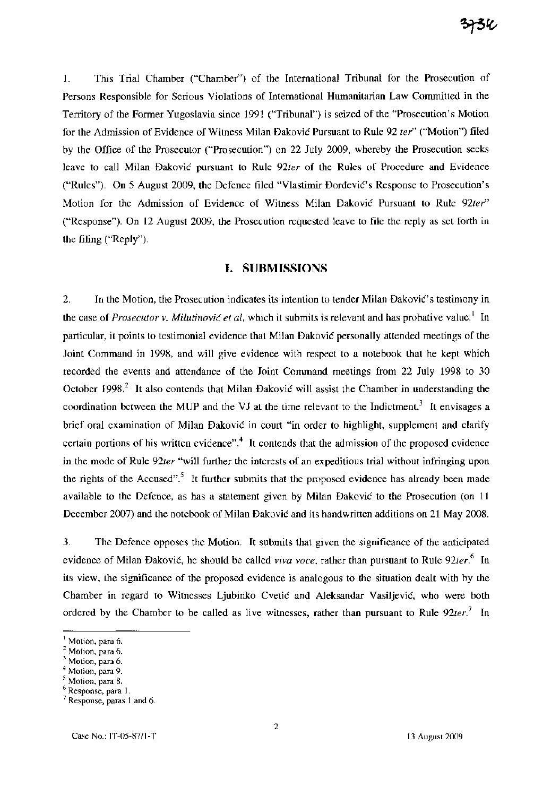1. This Trial Chamber ("Chamber") of the International Tribunal for the Prosecution of Persons Responsible for Serious Violations of International Humanitarian Law Committed in the Territory of the Former Yugoslavia since 1991 ("Tribunal") is seized of the "Prosecution's Motion for the Admission of Evidence of Witness Milan Dakovic Pursuant to Rule 92 *ter"* ("Motion") filed by the Office of the Prosecutor ("Prosecution") on 22 July 2009, whereby the Prosecution seeks leave to call Milan Dakovic pursuant to Rule *92ter* of the Rules of Procedure and Evidence ("Rules"). On 5 August 2009, the Defence filed "Vlastimir Dordevic's Response to Prosecution's Motion for the Admission of Evidence of Witness Milan Dakovic Pursuant to Rule *92ter"*  ("Response"). On 12 August 2009, the Prosecution requested leave to file the reply as set forth in the filing ("Reply").

### **I. SUBMISSIONS**

2. In the Motion, the Prosecution indicates its intention to tender Milan Đaković's testimony in the case of *Prosecutor v. Milutinović et al*, which it submits is relevant and has probative value.<sup>1</sup> In particular, it points to testimonial evidence that Milan Dakovic personally attended meetings of the Joint Command in 1998, and will give evidence with respect to a notebook that he kept which recorded the events and attendance of the Joint Command meetings from 22 July 1998 to 30 October 1998.<sup>2</sup> It also contends that Milan Đaković will assist the Chamber in understanding the coordination between the MUP and the VJ at the time relevant to the Indictment.<sup>3</sup> It envisages a brief oral examination of Milan Dakovic in court "in order to highlight, supplement and clarify certain portions of his written evidence".<sup>4</sup> It contends that the admission of the proposed evidence in the mode of Rule *92ter* "will further the interests of an expeditious trial without infringing upon the rights of the Accused".<sup>5</sup> It further submits that the proposed evidence has already been made available to the Defence, as has a statement given by Milan Dakovic to the Prosecution (on 11 December 2007) and the notebook of Milan Dakovic and its handwritten additions on 21 May 2008.

3. The Defence opposes the Motion. It submits that given the significance of the anticipated evidence of Milan Dakovic, he should be called *viva voce,* rather than pursuant to Rule *92ter.6* In its view, the significance of the proposed evidence is analogous to the situation dealt with by the Chamber in regard to Witnesses Ljubinko Cvetic and Aleksandar Vasiljevic, who were both ordered by the Chamber to be called as live witnesses, rather than pursuant to Rule  $92$ ter.<sup>7</sup> In

<sup>&</sup>lt;sup>1</sup> Motion, para 6.

<sup>&</sup>lt;sup>2</sup> Motion, para 6.

Motion, para 6.

Motion, para 9.

 $<sup>5</sup>$  Motion, para 8.</sup>

<sup>6</sup> Response, para 1.

<sup>&</sup>lt;sup>7</sup> Response, paras 1 and 6.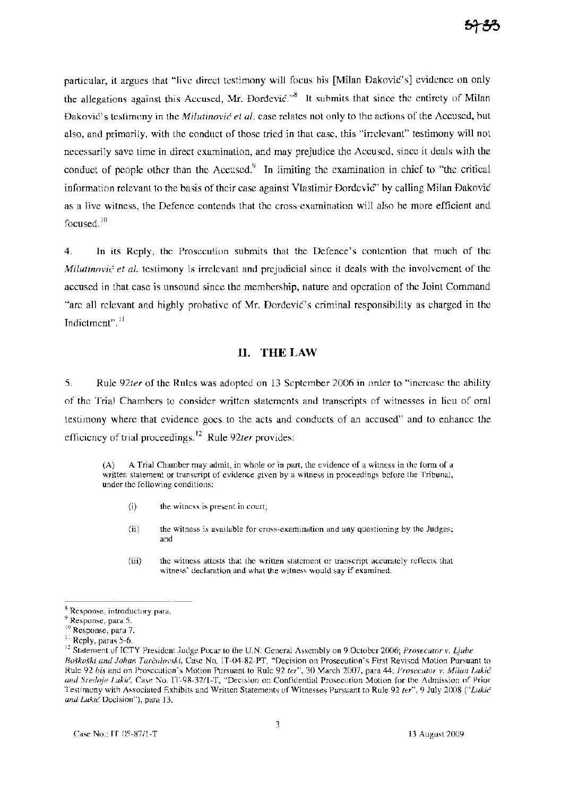particular, it argues that "live direct testimony will focus his [Milan Dakovic's] evidence on only the allegations against this Accused, Mr. Dordevic.<sup> $38$ </sup> It submits that since the entirety of Milan DakoviC's testimony in the *Milutinovic et aI.* case relates not only to the actions of the Accused, but also, and primarily, with the conduct of those tried in that case, this "irrelevant" testimony will not necessarily save time in direct examination, and may prejudice the Accused, since it deals with the conduct of people other than the Accused.<sup>9</sup> In limiting the examination in chief to "the critical information relevant to the basis of their case against Vlastimir Dordevic'" by calling Milan Dakovic as a live witness, the Defence contends that the cross-examination will also be more efficient and focused.<sup>10</sup>

4. In its Reply, the Prosecution submits that the Defence's contention that much of the *Milutinović et al.* testimony is irrelevant and prejudicial since it deals with the involvement of the accused in that case is unsound since the membership, nature and operation of the Joint Command "are all relevant and highly probative of Mr. Dordevic's criminal responsibility as charged in the Indictment".<sup>11</sup>

## **II.** THE LAW

5. Rule *92ter* of the Rules was adopted on 13 September 2006 in order to "increase the ability of the Trial Chambers to consider written statements and transcripts of witnesses in lieu of oral testimony where that evidence goes to the acts and conducts of an accused" and to enhance the efficiency of trial proceedings. 12 Rule *92ter* provides:

(A) A Trial Chamber may admit, in whole or in part, the evidence of a witness in the form of a written statement or transcript of evidence given by a witness in proceedings before the Tribunal, under the following conditions:

- (i) the witness is present in court;
- (ii) the witness is available for cross-examination and any questioning by the Judges; and
- (iii) the witness attests that the written statement or transcript accurately reflects that witness' declaration and what the witness would say if examined.

<sup>&</sup>lt;sup>8</sup> Response, introductory para.

Response, para 5.

<sup>&</sup>lt;sup>10</sup> Response, para 7.

<sup>&</sup>lt;sup>11</sup> Reply, paras 5-6.

<sup>12</sup> Statement of ICTY President Judge Pocar to the UN. General Assembly on 9 October 2006; *Prosecutor* v. *Ljube Boskoski and lohan Tarculovski,* Case No. IT-04-82-PT, "Decision on Prosecution's First Revised Motion Pursuant to Rule 92 *bis* and on Prosecution's Motion Pursuant to Rule 92 *ter",* 30 March 2007, para 44; *Prosecutor* v. *Milan Lukic and Sredoje LukiC,* Case No. IT-98-3211-T, "Decision on Confidential Prosecution Motion for the Admission of Prior Testimony with Associated Exhibits and Written Statements of Witnesses Pursuant to Rule 92 *ter",* 9 July 2008 *("Lukic and Lukic* Decision"), para 13.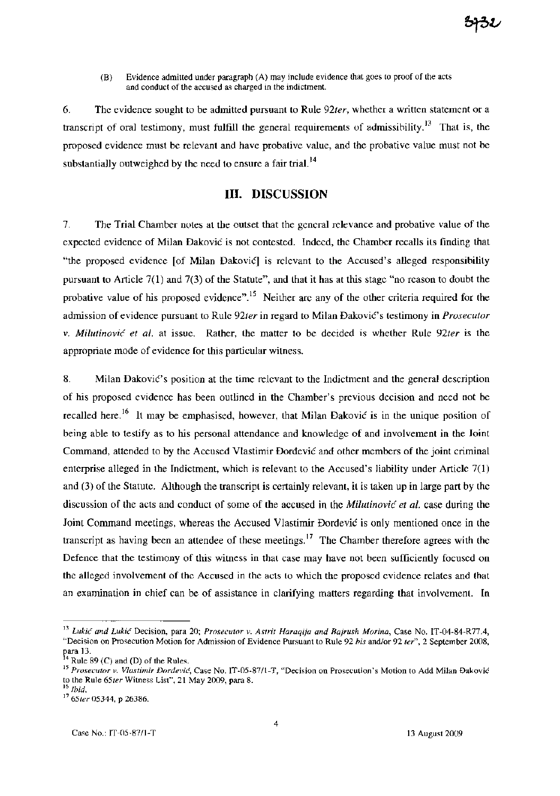(B) Evidence admitted under paragraph (A) may include evidence that goes to proof of the acts and conduct of the accused as charged in the indictment.

6. The evidence sought to be admitted pursuant to Rule *92ter,* whether a written statement or a transcript of oral testimony, must fulfill the general requirements of admissibility.<sup>13</sup> That is, the proposed evidence must be relevant and have probative value, and the probative value must not be substantially outweighed by the need to ensure a fair trial.<sup>14</sup>

# **III. DISCUSSION**

7. The Trial Chamber notes at the outset that the general relevance and probative value of the expected evidence of Milan Dakovic is not contested. Indeed, the Chamber recalls its finding that "the proposed evidence [of Milan Dakovicl is relevant to the Accused's alleged responsibility pursuant to Article 7(1) and 7(3) of the Statute", and that it has at this stage "no reason to doubt the probative value of his proposed evidence".<sup>15</sup> Neither are any of the other criteria required for the admission of evidence pursuant to Rule 92ter in regard to Milan Đaković's testimony in *Prosecutor v. Milutinovic et al.* at issue. Rather, the matter to be decided is whether Rule *92ter* is the appropriate mode of evidence for this particular witness.

8. Milan Dakovic's position at the time relevant to the Indictment and the general description of his proposed evidence has been outlined in the Chamber's previous decision and need not be recalled here.<sup>16</sup> It may be emphasised, however, that Milan Daković is in the unique position of being able to testify as to his personal attendance and knowledge of and involvement in the Joint Command, attended to by the Accused Vlastimir Dordevic and other members of the joint criminal enterprise alleged in the Indictment, which is relevant to the Accused's liability under Article 7(1) and (3) of the Statute. Although the transcript is certainly relevant, it is taken up in large part by the discussion of the acts and conduct of some of the accused in the *Milutinovic et al.* case during the Joint Command meetings, whereas the Accused Vlastimir Dordevic is only mentioned once in the transcript as having been an attendee of these meetings.<sup>17</sup> The Chamber therefore agrees with the Defence that the testimony of this witness in that case may have not been sufficiently focused on the alleged involvement of the Accused in the acts to which the proposed evidence relates and that an examination in chief can be of assistance in clarifying matters regarding that involvement. In

<sup>13</sup>*Lukic and Lukic* Decision, para 20; *Prosecutor* v. *Astrit Haraqija and Bajrush Morina,* Case No. IT-04-84-R77.4, "Decision on Prosecution Motion for Admission of Evidence Pursuant to Rule 92 *bis* and/or 92 *ter",* 2 September 2008, para 13.

Rule 89 (C) and (D) of the Rules.

<sup>15</sup>*Prosecutor* v. *Vlastimir Dordevic,* Case No. IT-05-87/l-T, "Decision on Prosecution's Motion to Add Milan Dakovic to the Rule *65ter* Witness List", 21 May 2009, para 8. *16 Ibid.* 

<sup>17</sup>*65ter* 05344, p 26386.